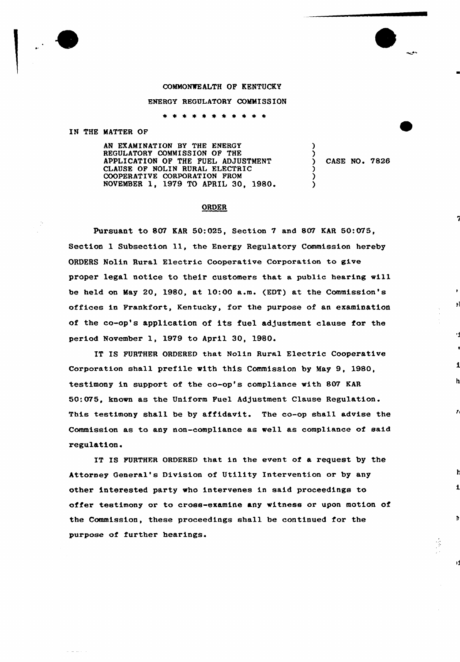### COMMONWEALTH OF KENTUCKY

#### ENERGY REGULATORY COMMISSION

\* \* \* \* \* \* \* \* \* \* \*

## IN THE MATTER OF

AN EXAMINATION BY THE ENERGY REGULATORY COMMISSION OF THE APPLICATION OF THE FUEL ADJUSTMENT CLAUSE OF NOLIN RURAL ELECTRIC COOPERATIVE CORPORATION PROM NOVEMBER 1, 1979 TO APRIL 30, 1980.

CASE NO. 7826

 $\mathbf{E}$ 

h

 $\mathbf{r}$ 

 $\Rightarrow$ 

Ŋ

) )

) ) )

### ORDER

Pursuant to 807 KAR 50:025, Section 7 and 807 KAR 50:075, Section 1 Subsection 11, the Energy Regulatory Commission hereby ORDERS Nolin Rural Electric Cooperative Corporation to give proper legal notice to their customers that a public hearing will be held on May 20, 1980, at 10:00 a.m. (EDT) at the Commission's offices in Frankfort, Kentucky, for the purpose of an examination of the co-op's application of its fuel adjustment clause for the period November 1, 1979 to April 30, 1980.

IT IS FURTHER ORDERED that Nolin Rural Electric Cooperative Corporation shall prefile with this Commission by May 9, 1980, testimony in support of the co-op's compliance with 807 KAR 50:075, known as the Uniform Fuel Adjustment Clause Regulation. This testimony shall be by affidavit. The co-op shall advise the Commission as to any non-compliance as well as compliance of said regulation.

IT IS FURTHER ORDERED that in the event of a request by the Attorney General's Division of Utility Intervention or by any other interested party who intervenes in said proceedings to offer testimony or to cross-examine any witness or upon motion of the Commission, these proceedings shall be continued for the purpose of further hearings.